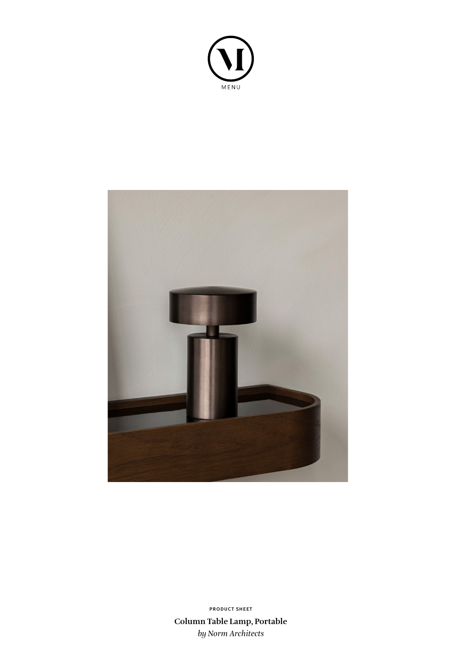



**Column Table Lamp, Portable** *by Norm Architects* **PRODUCT SHEET**